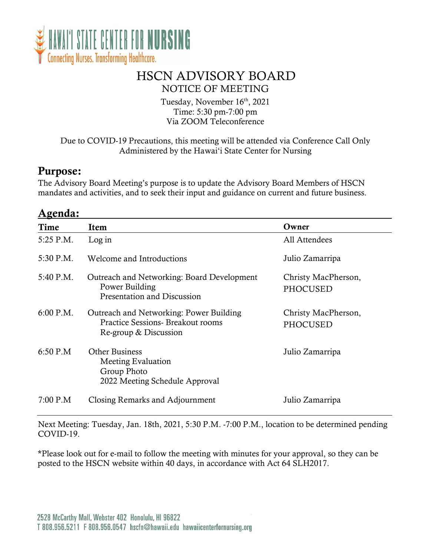

## HSCN ADVISORY BOARD NOTICE OF MEETING

Tuesday, November 16th, 2021 Time: 5:30 pm-7:00 pm Via ZOOM Teleconference

Due to COVID-19 Precautions, this meeting will be attended via Conference Call Only Administered by the Hawai'i State Center for Nursing

## Purpose:

The Advisory Board Meeting's purpose is to update the Advisory Board Members of HSCN mandates and activities, and to seek their input and guidance on current and future business.

| Agenda:     |                                                                                                              |                                 |
|-------------|--------------------------------------------------------------------------------------------------------------|---------------------------------|
| Time        | Item                                                                                                         | Owner                           |
| 5:25 P.M.   | Log in                                                                                                       | All Attendees                   |
| 5:30 P.M.   | Welcome and Introductions                                                                                    | Julio Zamarripa                 |
| 5:40 P.M.   | Outreach and Networking: Board Development<br>Power Building<br>Presentation and Discussion                  | Christy MacPherson,<br>PHOCUSED |
| $6:00$ P.M. | Outreach and Networking: Power Building<br><b>Practice Sessions- Breakout rooms</b><br>Re-group & Discussion | Christy MacPherson,<br>PHOCUSED |
| 6:50 P.M    | <b>Other Business</b><br>Meeting Evaluation<br>Group Photo<br>2022 Meeting Schedule Approval                 | Julio Zamarripa                 |
| 7:00 P.M    | Closing Remarks and Adjournment                                                                              | Julio Zamarripa                 |

Next Meeting: Tuesday, Jan. 18th, 2021, 5:30 P.M. -7:00 P.M., location to be determined pending COVID-19.

\*Please look out for e-mail to follow the meeting with minutes for your approval, so they can be posted to the HSCN website within 40 days, in accordance with Act 64 SLH2017.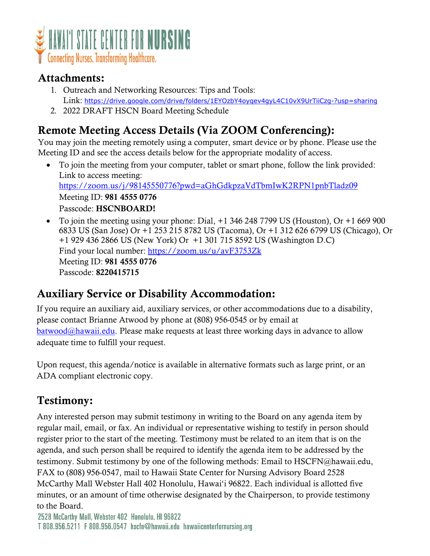

## Attachments:

- 1. Outreach and Networking Resources: Tips and Tools: Link: <https://drive.google.com/drive/folders/1EYOzbY4oyqev4gyL4C10vX9UrTiiCzg-?usp=sharing>
- 2. 2022 DRAFT HSCN Board Meeting Schedule

# Remote Meeting Access Details (Via ZOOM Conferencing):

You may join the meeting remotely using a computer, smart device or by phone. Please use the Meeting ID and see the access details below for the appropriate modality of access.

- To join the meeting from your computer, tablet or smart phone, follow the link provided: Link to access meeting: <https://zoom.us/j/98145550776?pwd=aGhGdkpzaVdTbmIwK2RPN1pnbTladz09> Meeting ID: 981 4555 0776 Passcode: HSCNBOARD!
- To join the meeting using your phone: Dial, +1 346 248 7799 US (Houston), Or +1 669 900 6833 US (San Jose) Or +1 253 215 8782 US (Tacoma), Or +1 312 626 6799 US (Chicago), Or +1 929 436 2866 US (New York) Or +1 301 715 8592 US (Washington D.C) Find your local number:<https://zoom.us/u/avF3753Zk> Meeting ID: 981 4555 0776 Passcode: 8220415715

# Auxiliary Service or Disability Accommodation:

If you require an auxiliary aid, auxiliary services, or other accommodations due to a disability, please contact Brianne Atwood by phone at (808) 956-0545 or by email at  $b$ atwood@hawaii.edu. Please make requests at least three working days in advance to allow adequate time to fulfill your request.

Upon request, this agenda/notice is available in alternative formats such as large print, or an ADA compliant electronic copy.

# Testimony:

Any interested person may submit testimony in writing to the Board on any agenda item by regular mail, email, or fax. An individual or representative wishing to testify in person should register prior to the start of the meeting. Testimony must be related to an item that is on the agenda, and such person shall be required to identify the agenda item to be addressed by the testimony. Submit testimony by one of the following methods: Email to HSCFN@hawaii.edu, FAX to (808) 956-0547, mail to Hawaii State Center for Nursing Advisory Board 2528 McCarthy Mall Webster Hall 402 Honolulu, Hawai'i 96822. Each individual is allotted five minutes, or an amount of time otherwise designated by the Chairperson, to provide testimony to the Board.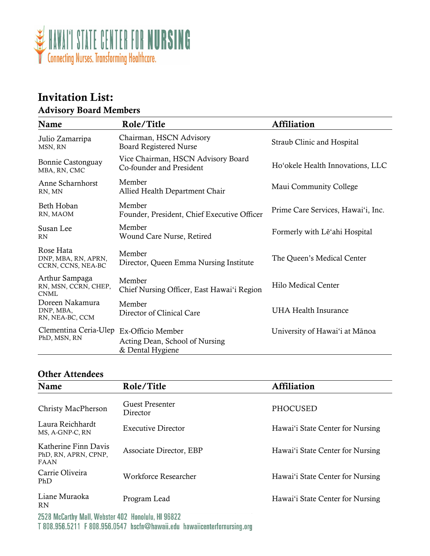

### Invitation List: Advisory Board Members

| Name                                                   | Role/Title                                                              | <b>Affiliation</b>                 |
|--------------------------------------------------------|-------------------------------------------------------------------------|------------------------------------|
| Julio Zamarripa<br>MSN, RN                             | Chairman, HSCN Advisory<br><b>Board Registered Nurse</b>                | Straub Clinic and Hospital         |
| Bonnie Castonguay<br>MBA, RN, CMC                      | Vice Chairman, HSCN Advisory Board<br>Co-founder and President          | Ho'okele Health Innovations, LLC   |
| Anne Scharnhorst<br>RN, MN                             | Member<br>Allied Health Department Chair                                | Maui Community College             |
| Beth Hoban<br>RN, MAOM                                 | Member<br>Founder, President, Chief Executive Officer                   | Prime Care Services, Hawai'i, Inc. |
| Susan Lee<br><b>RN</b>                                 | Member<br>Wound Care Nurse, Retired                                     | Formerly with Le'ahi Hospital      |
| Rose Hata<br>DNP, MBA, RN, APRN,<br>CCRN, CCNS, NEA-BC | Member<br>Director, Queen Emma Nursing Institute                        | The Queen's Medical Center         |
| Arthur Sampaga<br>RN, MSN, CCRN, CHEP,<br><b>CNML</b>  | Member<br>Chief Nursing Officer, East Hawai'i Region                    | Hilo Medical Center                |
| Doreen Nakamura<br>DNP, MBA,<br>RN, NEA-BC, CCM        | Member<br>Director of Clinical Care                                     | <b>UHA Health Insurance</b>        |
| Clementina Ceria-Ulep<br>PhD, MSN, RN                  | Ex-Officio Member<br>Acting Dean, School of Nursing<br>& Dental Hygiene | University of Hawai'i at Mānoa     |

### Other Attendees

| Name                                                        | Role/Title                  | <b>Affiliation</b>               |  |
|-------------------------------------------------------------|-----------------------------|----------------------------------|--|
| Christy MacPherson                                          | Guest Presenter<br>Director | PHOCUSED                         |  |
| Laura Reichhardt<br>MS, A-GNP-C, RN                         | <b>Executive Director</b>   | Hawai'i State Center for Nursing |  |
| Katherine Finn Davis<br>PhD, RN, APRN, CPNP,<br><b>FAAN</b> | Associate Director, EBP     | Hawai'i State Center for Nursing |  |
| Carrie Oliveira<br>PhD                                      | Workforce Researcher        | Hawai'i State Center for Nursing |  |
| Liane Muraoka<br><b>RN</b>                                  | Program Lead                | Hawai'i State Center for Nursing |  |
| 2528 McCarthy Mall, Webster 402 Honolulu, HI 96822          |                             |                                  |  |

T 808.956.5211 F 808.956.0547 hscfn@hawaii.edu hawaiicenterfornursing.org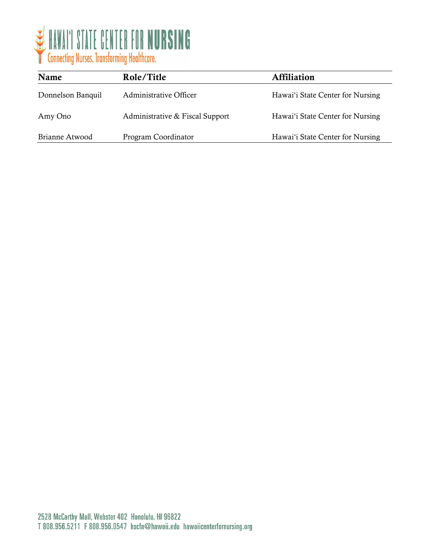

| Name              | Role/Title                      | <b>Affiliation</b>               |
|-------------------|---------------------------------|----------------------------------|
| Donnelson Banquil | Administrative Officer          | Hawai'i State Center for Nursing |
| Amy Ono           | Administrative & Fiscal Support | Hawai'i State Center for Nursing |
| Brianne Atwood    | Program Coordinator             | Hawai'i State Center for Nursing |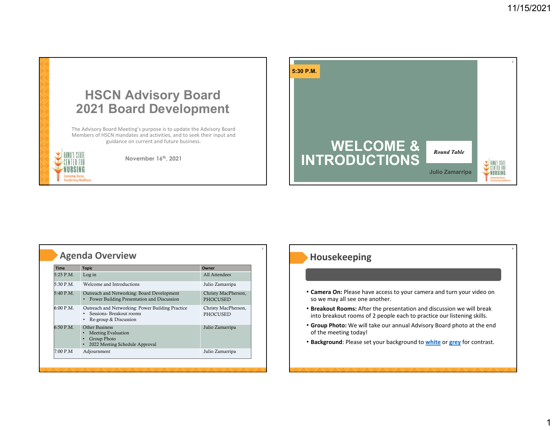



| <b>Time</b> | <b>Topic</b>                                                                                                      | Owner                                  |
|-------------|-------------------------------------------------------------------------------------------------------------------|----------------------------------------|
| $5:25$ P.M. | Log in                                                                                                            | All Attendees                          |
| $5:30$ P.M. | Welcome and Introductions                                                                                         | Julio Zamarripa                        |
| 5:40 P.M.   | Outreach and Networking: Board Development<br>Power Building Presentation and Discussion                          | Christy MacPherson,<br><b>PHOCUSED</b> |
| 6:00 P.M.   | Outreach and Networking: Power Building Practice<br>Sessions-Breakout rooms<br>Re-group & Discussion<br>$\bullet$ | Christy MacPherson,<br><b>PHOCUSED</b> |
| 6:50 P.M.   | Other Business<br><b>Meeting Evaluation</b><br>Group Photo<br>2022 Meeting Schedule Approval<br>$\bullet$         | Julio Zamarripa                        |
| 7:00 P.M    | Adjournment                                                                                                       | Julio Zamarripa                        |

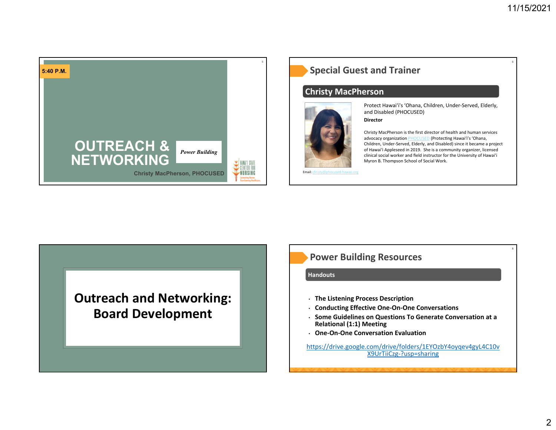

### **Special Guest and Trainer**

### **Christy MacPherson**



Protect Hawai<sup>ʻ</sup>i's <sup>ʻ</sup>Ohana, Children, Under‐Served, Elderly, and Disabled (PHOCUSED) **Director**

Christy MacPherson is the first director of health and human services advocacy organization **PHOCUSED** (Protecting Hawai'i's 'Ohana, Children, Under‐Served, Elderly, and Disabled) since it became <sup>a</sup> project of Hawai<sup>ʻ</sup>i Appleseed in 2019. She is <sup>a</sup> community organizer, licensed clinical social worker and field instructor for the University of Hawai<sup>ʻ</sup>i Myron B. Thompson School of Social Work.

# **Outreach and Networking: Board Development**

### **Power Building Resources**

#### **Handouts**

- **The Listening Process Description**
- **Conducting Effective One‐On‐One Conversations**
- • **Some Guidelines on Questions To Generate Conversation at <sup>a</sup> Relational (1:1) Meeting**
- **One‐On‐One Conversation Evaluation**

https://drive.google.com/drive/folders/1EYOzbY4oyqev4gyL4C10v X9UrTiiCzg‐?usp=sharing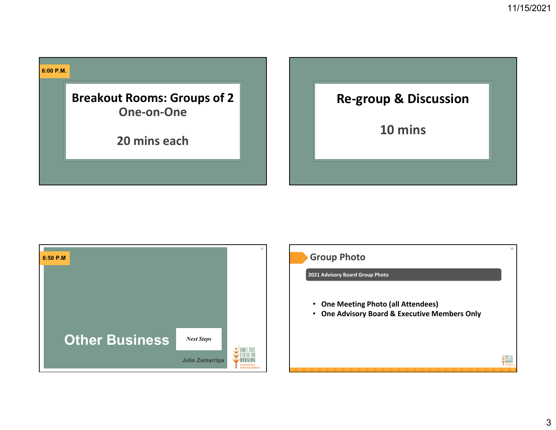



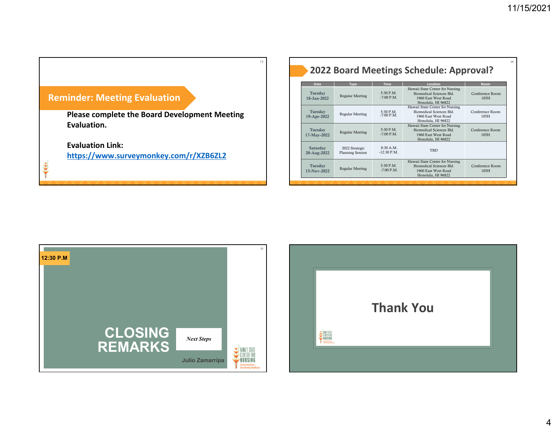





#### 4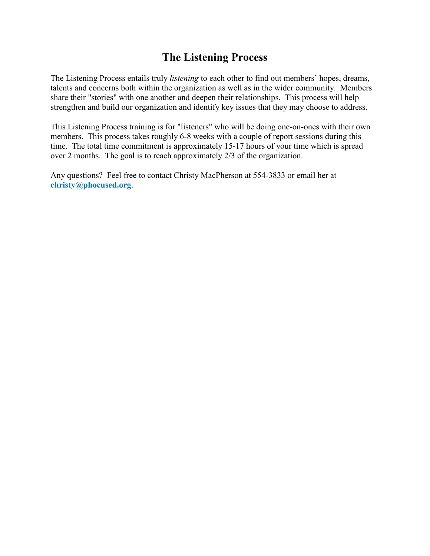## **The Listening Process**

The Listening Process entails truly *listening* to each other to find out members' hopes, dreams, talents and concerns both within the organization as well as in the wider community. Members share their "stories" with one another and deepen their relationships. This process will help strengthen and build our organization and identify key issues that they may choose to address.

This Listening Process training is for "listeners" who will be doing one-on-ones with their own members. This process takes roughly 6-8 weeks with a couple of report sessions during this time. The total time commitment is approximately 15-17 hours of your time which is spread over 2 months. The goal is to reach approximately 2/3 of the organization.

Any questions? Feel free to contact Christy MacPherson at 554-3833 or email her at **christy@phocused.org**.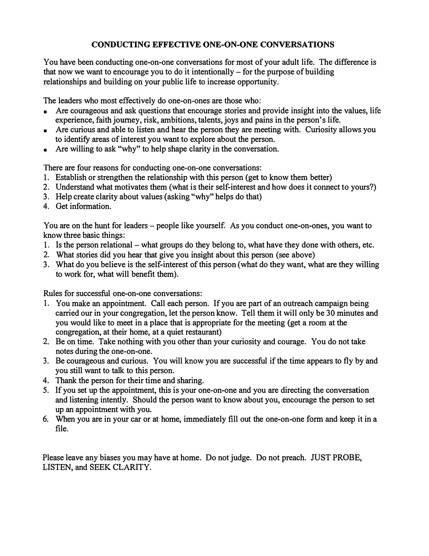### **CONDUCTING EFFECTIVE ONE-ON-ONE CONVERSATIONS**

You have been conducting one-on-one conversations for most of your adult life. The difference is that now we want to encourage you to do it intentionally  $-$  for the purpose of building relationships and building on your public life to increase opportunity.

The leaders who most effectively do one-on-ones are those who:

- Are courageous and ask questions that encourage stories and provide insight into the values, life experience, faith journey, risk, ambitions, talents, joys and pains in the person's life.
- Are curious and able to listen and hear the person they are meeting with. Curiosity allows you to identify areas of interest you want to explore about the person.
- Are willing to ask "why" to help shape clarity in the conversation.

There are four reasons for conducting one-on-one conversations:

- 1. Establish or strengthen the relationship with this person (get to know them better)
- 2. Understand what motivates them (what is their self-interest and how does it connect to yours?)
- 3. Help create clarity about values (asking "why" helps do that)
- 4. Get information.

You are on the hunt for leaders – people like yourself. As you conduct one-on-ones, you want to know three basic things:

- 1. Is the person relational what groups do they belong to, what have they done with others, etc.
- 2. What stories did you hear that give you insight about this person (see above)
- 3. What do you believe is the self-interest of this person (what do they want, what are they willing to work for, what will benefit them).

Rules for successful one-on-one conversations:

- 1. You make an appointment. Call each person. If you are part of an outreach campaign being carried our in your congregation, let the person know. Tell them it will only be 30 minutes and you would like to meet in a place that is appropriate for the meeting (get a room at the congregation, at their home, at a quiet restaurant)
- 2. Be on time. Take nothing with you other than your curiosity and courage. You do not take notes during the one-on-one.
- 3. Be courageous and curious. You will know you are successful if the time appears to fly by and you still want to talk to this person.
- 4. Thank the person for their time and sharing.
- 5. If you set up the appointment, this is your one-on-one and you are directing the conversation and listening intently. Should the person want to know about you, encourage the person to set up an appointment with you.
- 6. When you are in your car or at home, immediately fill out the one-on-one form and keep it in a file.

Please leave any biases you may have at home. Do not judge. Do not preach. JUST PROBE, LISTEN, and SEEK CLARITY.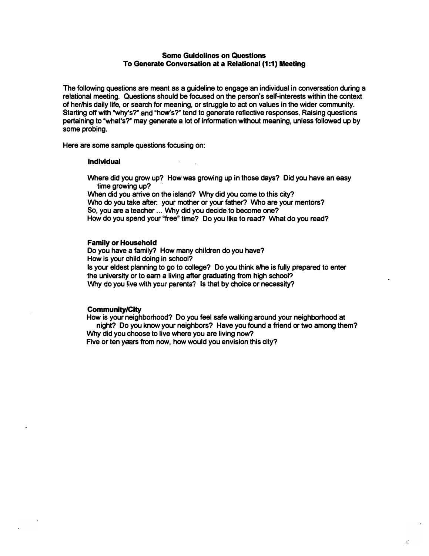#### **Some Guidelines on Questions To Generate Conversation at a Relational (1:1) Meeting**

**The following questions are meant as a guideline to engage an individual in conversation during a relational meeting. Questions should be focused on the person's self-interests within the context of her/his daily life, or search for meaning, or struggle to act on values in the wider community. Starting off with "why's?<sup>n</sup>and "how's?" tend to generate reflective responses. Raising questions pertaining to 'what's?" may generate a lot of information without meaning, unless followed up by some probing.** 

**Here are some sample questions focusing on:** 

#### **Individual**

**Where did you grow up? How was growing up in those days? Did you have an easy time growing up?** 

**When did you arrive on the island? Why did you come to this city? Who do you take after: your mother or your father? Who are your mentors? So, you are a teacher ... Why did you decide to become one?**  How do you spend your "free" time? Do you like to read? What do you read?

#### **Family or Household**

**Do you have a family? How many children do you have? How is your child doing in school? Is your eldest planning to go to college? Do you think s/he is fully prepared to enter the university or to earn a living after graduating from high school? \Yhy do you !ive with your parents? Is that by choice or necessity?** 

#### **Community/City**

**How is your neighborhood? Do you feel safe walking around your neighborhood at night? Do you know your neighbors? Have you found a friend or two among them? Why did you choose to live where you are living now?** 

**Five or ten years from now, how would you envision this city?**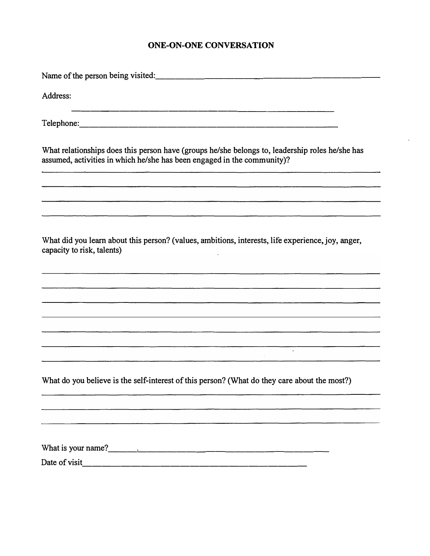### **ONE-ON-ONE CONVERSATION**

Nrune of the person being visited: \_\_\_\_\_\_\_\_\_\_\_\_\_\_\_\_\_\_\_\_\_\_ \_

Address:

Telephone: \_\_\_\_\_\_\_\_\_\_\_\_\_\_\_\_\_\_\_\_\_\_\_\_\_ \_

What relationships does this person have (groups he/she belongs to, leadership roles he/she has assumed, activities in **w**hich he/she has been engaged in the community)?

---------------------------

What did you learn about this person? (values, ambitions, interests, life experience, joy, anger, capacity to risk, talents)

What do you believe is the self-interest of this person? (What do they care about the most?)

IJ.

.<br>1940au - James March, 1940au - Francouz Mariana e ann an Iodair Franca ann an Changair ann an 1940

What is your name?  $\qquad \qquad \qquad$ 

Date of visit -----------------------